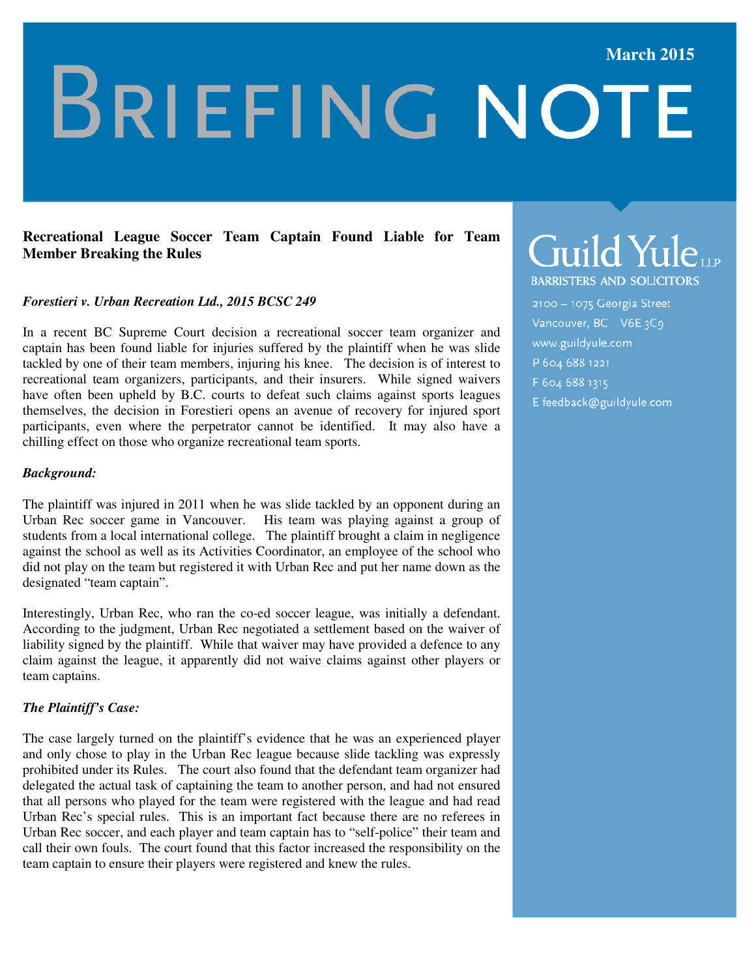#### **March 2015**

# **BRIEFING NOTE**

#### **Recreational League Soccer Team Captain Found Liable for Team Member Breaking the Rules**

#### *Forestieri v. Urban Recreation Ltd., 2015 BCSC 249*

In a recent BC Supreme Court decision a recreational soccer team organizer and captain has been found liable for injuries suffered by the plaintiff when he was slide tackled by one of their team members, injuring his knee. The decision is of interest to recreational team organizers, participants, and their insurers. While signed waivers have often been upheld by B.C. courts to defeat such claims against sports leagues themselves, the decision in Forestieri opens an avenue of recovery for injured sport participants, even where the perpetrator cannot be identified. It may also have a chilling effect on those who organize recreational team sports.

#### *Background:*

The plaintiff was injured in 2011 when he was slide tackled by an opponent during an Urban Rec soccer game in Vancouver. His team was playing against a group of students from a local international college. The plaintiff brought a claim in negligence against the school as well as its Activities Coordinator, an employee of the school who did not play on the team but registered it with Urban Rec and put her name down as the designated "team captain".

Interestingly, Urban Rec, who ran the co-ed soccer league, was initially a defendant. According to the judgment, Urban Rec negotiated a settlement based on the waiver of liability signed by the plaintiff. While that waiver may have provided a defence to any claim against the league, it apparently did not waive claims against other players or team captains.

#### *The Plaintiff's Case:*

The case largely turned on the plaintiff's evidence that he was an experienced player and only chose to play in the Urban Rec league because slide tackling was expressly prohibited under its Rules. The court also found that the defendant team organizer had delegated the actual task of captaining the team to another person, and had not ensured that all persons who played for the team were registered with the league and had read Urban Rec's special rules. This is an important fact because there are no referees in Urban Rec soccer, and each player and team captain has to "self-police" their team and call their own fouls. The court found that this factor increased the responsibility on the team captain to ensure their players were registered and knew the rules.

# Guild YuleLLP

**BARRISTERS AND SOLICITORS** 

2100 - 1075 Georgia Street Vancouver, BC V6E 3C9 www.guildyule.com P 604 688 1221 F 604 688 1315

E feedback@guildyule.com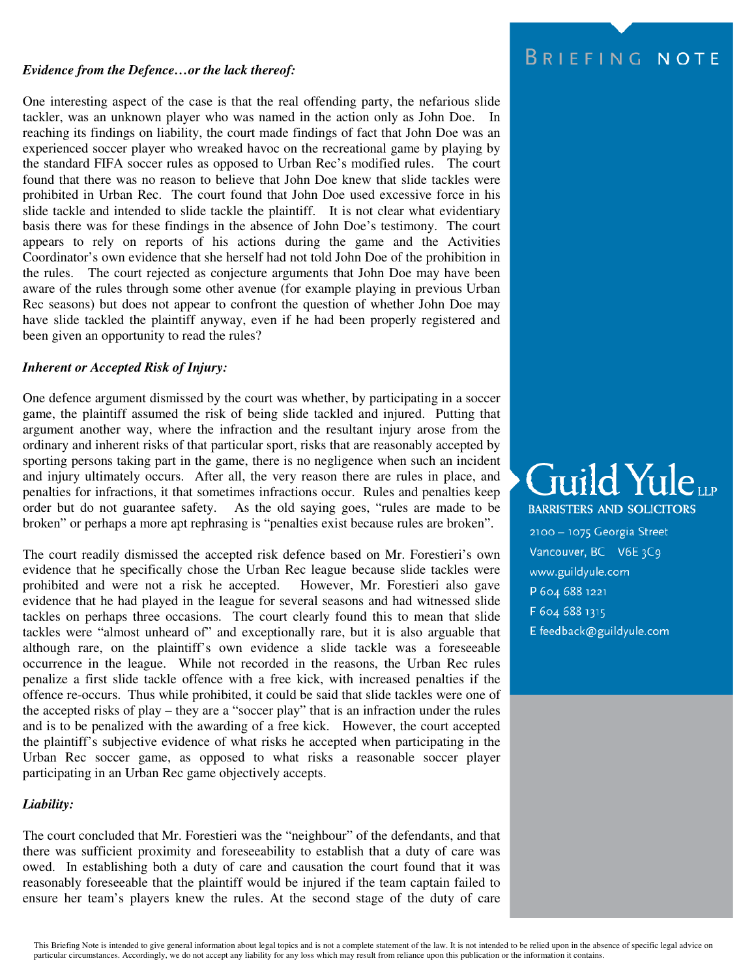#### *Evidence from the Defence…or the lack thereof:*

One interesting aspect of the case is that the real offending party, the nefarious slide tackler, was an unknown player who was named in the action only as John Doe. In reaching its findings on liability, the court made findings of fact that John Doe was an experienced soccer player who wreaked havoc on the recreational game by playing by the standard FIFA soccer rules as opposed to Urban Rec's modified rules. The court found that there was no reason to believe that John Doe knew that slide tackles were prohibited in Urban Rec. The court found that John Doe used excessive force in his slide tackle and intended to slide tackle the plaintiff. It is not clear what evidentiary basis there was for these findings in the absence of John Doe's testimony. The court appears to rely on reports of his actions during the game and the Activities Coordinator's own evidence that she herself had not told John Doe of the prohibition in the rules. The court rejected as conjecture arguments that John Doe may have been aware of the rules through some other avenue (for example playing in previous Urban Rec seasons) but does not appear to confront the question of whether John Doe may have slide tackled the plaintiff anyway, even if he had been properly registered and been given an opportunity to read the rules?

#### *Inherent or Accepted Risk of Injury:*

One defence argument dismissed by the court was whether, by participating in a soccer game, the plaintiff assumed the risk of being slide tackled and injured. Putting that argument another way, where the infraction and the resultant injury arose from the ordinary and inherent risks of that particular sport, risks that are reasonably accepted by sporting persons taking part in the game, there is no negligence when such an incident and injury ultimately occurs. After all, the very reason there are rules in place, and penalties for infractions, it that sometimes infractions occur. Rules and penalties keep order but do not guarantee safety. As the old saying goes, "rules are made to be broken" or perhaps a more apt rephrasing is "penalties exist because rules are broken".

The court readily dismissed the accepted risk defence based on Mr. Forestieri's own evidence that he specifically chose the Urban Rec league because slide tackles were prohibited and were not a risk he accepted. However, Mr. Forestieri also gave evidence that he had played in the league for several seasons and had witnessed slide tackles on perhaps three occasions. The court clearly found this to mean that slide tackles were "almost unheard of" and exceptionally rare, but it is also arguable that although rare, on the plaintiff's own evidence a slide tackle was a foreseeable occurrence in the league. While not recorded in the reasons, the Urban Rec rules penalize a first slide tackle offence with a free kick, with increased penalties if the offence re-occurs. Thus while prohibited, it could be said that slide tackles were one of the accepted risks of play – they are a "soccer play" that is an infraction under the rules and is to be penalized with the awarding of a free kick. However, the court accepted the plaintiff's subjective evidence of what risks he accepted when participating in the Urban Rec soccer game, as opposed to what risks a reasonable soccer player participating in an Urban Rec game objectively accepts.

#### *Liability:*

The court concluded that Mr. Forestieri was the "neighbour" of the defendants, and that there was sufficient proximity and foreseeability to establish that a duty of care was owed. In establishing both a duty of care and causation the court found that it was reasonably foreseeable that the plaintiff would be injured if the team captain failed to ensure her team's players knew the rules. At the second stage of the duty of care

### BRIEFING NOTE

# Guild Yule **BARRISTERS AND SOLICITORS**

2100 - 1075 Georgia Street

- Vancouver, BC V6E3C9 www.guildyule.com
- P 604 688 1221
- F 604 688 1315
- E feedback@guildyule.com